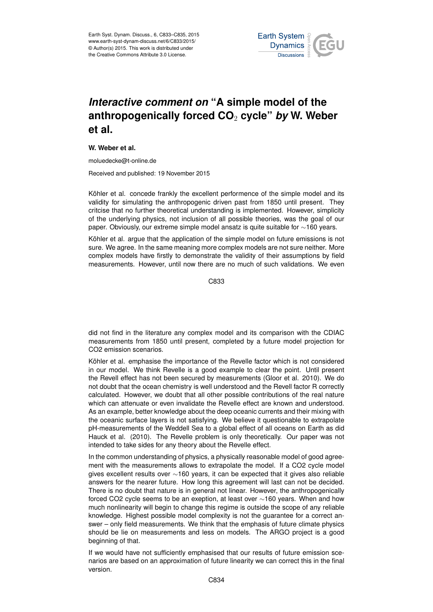

## *Interactive comment on* **"A simple model of the anthropogenically forced CO**<sup>2</sup> **cycle"** *by* **W. Weber et al.**

## **W. Weber et al.**

moluedecke@t-online.de

Received and published: 19 November 2015

Köhler et al. concede frankly the excellent performence of the simple model and its validity for simulating the anthropogenic driven past from 1850 until present. They critcise that no further theoretical understanding is implemented. However, simplicity of the underlying physics, not inclusion of all possible theories, was the goal of our paper. Obviously, our extreme simple model ansatz is quite suitable for ∼160 years.

Köhler et al. argue that the application of the simple model on future emissions is not sure. We agree. In the same meaning more complex models are not sure neither. More complex models have firstly to demonstrate the validity of their assumptions by field measurements. However, until now there are no much of such validations. We even

C833

did not find in the literature any complex model and its comparison with the CDIAC measurements from 1850 until present, completed by a future model projection for CO2 emission scenarios.

Köhler et al. emphasise the importance of the Revelle factor which is not considered in our model. We think Revelle is a good example to clear the point. Until present the Revell effect has not been secured by measurements (Gloor et al. 2010). We do not doubt that the ocean chemistry is well understood and the Revell factor R correctly calculated. However, we doubt that all other possible contributions of the real nature which can attenuate or even invalidate the Revelle effect are known and understood. As an example, better knowledge about the deep oceanic currents and their mixing with the oceanic surface layers is not satisfying. We believe it questionable to extrapolate pH-measurements of the Weddell Sea to a global effect of all oceans on Earth as did Hauck et al. (2010). The Revelle problem is only theoretically. Our paper was not intended to take sides for any theory about the Revelle effect.

In the common understanding of physics, a physically reasonable model of good agreement with the measurements allows to extrapolate the model. If a CO2 cycle model gives excellent results over ∼160 years, it can be expected that it gives also reliable answers for the nearer future. How long this agreement will last can not be decided. There is no doubt that nature is in general not linear. However, the anthropogenically forced CO2 cycle seems to be an exeption, at least over ∼160 years. When and how much nonlinearity will begin to change this regime is outside the scope of any reliable knowledge. Highest possible model complexity is not the guarantee for a correct answer – only field measurements. We think that the emphasis of future climate physics should be lie on measurements and less on models. The ARGO project is a good beginning of that.

If we would have not sufficiently emphasised that our results of future emission scenarios are based on an approximation of future linearity we can correct this in the final version.